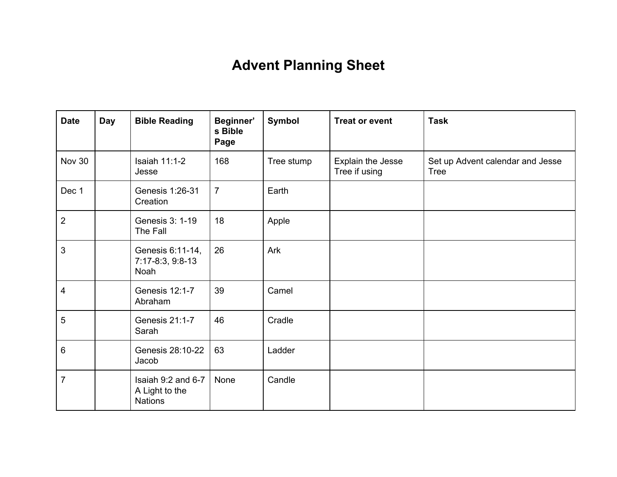## **Advent Planning Sheet**

| <b>Date</b>             | <b>Day</b> | <b>Bible Reading</b>                                   | Beginner'<br>s Bible<br>Page | Symbol     | <b>Treat or event</b>              | <b>Task</b>                                     |
|-------------------------|------------|--------------------------------------------------------|------------------------------|------------|------------------------------------|-------------------------------------------------|
| Nov 30                  |            | <b>Isaiah 11:1-2</b><br>Jesse                          | 168                          | Tree stump | Explain the Jesse<br>Tree if using | Set up Advent calendar and Jesse<br><b>Tree</b> |
| Dec 1                   |            | Genesis 1:26-31<br>Creation                            | $\overline{7}$               | Earth      |                                    |                                                 |
| $\overline{2}$          |            | Genesis 3: 1-19<br>The Fall                            | 18                           | Apple      |                                    |                                                 |
| 3                       |            | Genesis 6:11-14,<br>7:17-8:3, 9:8-13<br>Noah           | 26                           | Ark        |                                    |                                                 |
| $\overline{\mathbf{4}}$ |            | Genesis 12:1-7<br>Abraham                              | 39                           | Camel      |                                    |                                                 |
| $\sqrt{5}$              |            | Genesis 21:1-7<br>Sarah                                | 46                           | Cradle     |                                    |                                                 |
| 6                       |            | Genesis 28:10-22<br>Jacob                              | 63                           | Ladder     |                                    |                                                 |
| $\overline{7}$          |            | Isaiah 9:2 and 6-7<br>A Light to the<br><b>Nations</b> | None                         | Candle     |                                    |                                                 |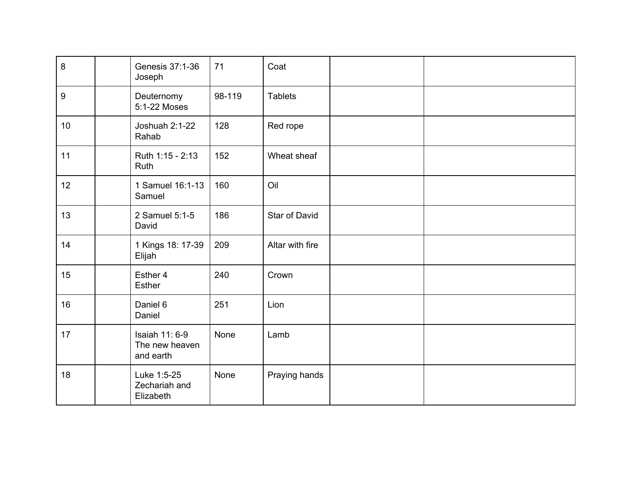| $\bf 8$          | Genesis 37:1-36<br>Joseph                     | 71     | Coat            |  |
|------------------|-----------------------------------------------|--------|-----------------|--|
| $\boldsymbol{9}$ | Deuternomy<br>5:1-22 Moses                    | 98-119 | <b>Tablets</b>  |  |
| 10 <sup>1</sup>  | Joshuah 2:1-22<br>Rahab                       | 128    | Red rope        |  |
| 11               | Ruth 1:15 - 2:13<br>Ruth                      | 152    | Wheat sheaf     |  |
| 12               | 1 Samuel 16:1-13<br>Samuel                    | 160    | Oil             |  |
| 13               | 2 Samuel 5:1-5<br>David                       | 186    | Star of David   |  |
| 14               | 1 Kings 18: 17-39<br>Elijah                   | 209    | Altar with fire |  |
| 15               | Esther 4<br>Esther                            | 240    | Crown           |  |
| 16               | Daniel 6<br>Daniel                            | 251    | Lion            |  |
| 17               | Isaiah 11: 6-9<br>The new heaven<br>and earth | None   | Lamb            |  |
| 18               | Luke 1:5-25<br>Zechariah and<br>Elizabeth     | None   | Praying hands   |  |